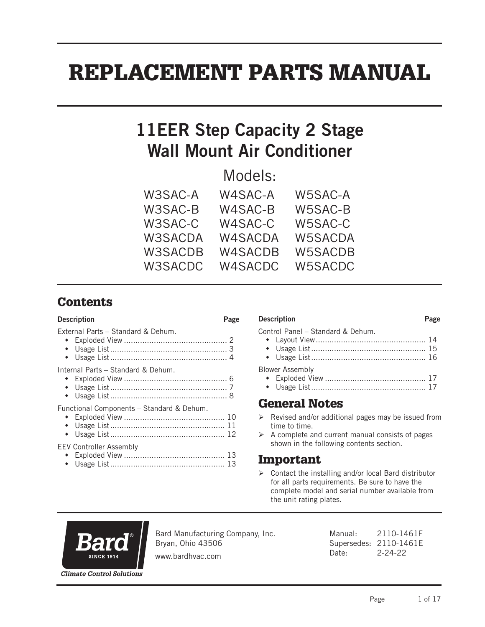### REPLACEMENT PARTS MANUAL

### 11EER Step Capacity 2 Stage Wall Mount Air Conditioner

Models:

| W3SAC-A | W4SAC-A | W5SAC-A |
|---------|---------|---------|
| W3SAC-B | W4SAC-B | W5SAC-B |
| W3SAC-C | W4SAC-C | W5SAC-C |
| W3SACDA | W4SACDA | W5SACDA |
| W3SACDB | W4SACDB | W5SACDB |
| W3SACDC | W4SACDC | W5SACDC |
|         |         |         |

### Contents

#### Description **Page**

| External Parts - Standard & Dehum.        |  |
|-------------------------------------------|--|
| Internal Parts - Standard & Dehum.        |  |
| Functional Components - Standard & Dehum. |  |
| <b>EEV Controller Assembly</b>            |  |

| <b>Description</b> | Page |
|--------------------|------|
|                    |      |

Control Panel – Standard & Dehum.

- Layout View................................................ 14
- Usage List.................................................. 15 Usage List.................................................. 16
- 

Blower Assembly

- Exploded View ............................................ 17
- Usage List.................................................. 17

#### General Notes

- $\triangleright$  Revised and/or additional pages may be issued from time to time.
- $\triangleright$  A complete and current manual consists of pages shown in the following contents section.

#### Important

 $\triangleright$  Contact the installing and/or local Bard distributor for all parts requirements. Be sure to have the complete model and serial number available from the unit rating plates.



Bard Manufacturing Company, Inc. Bryan, Ohio 43506

Manual: 2110-1461F Supersedes: 2110-1461E Date: 2-24-22

www.bardhvac.com

**Climate Control Solutions**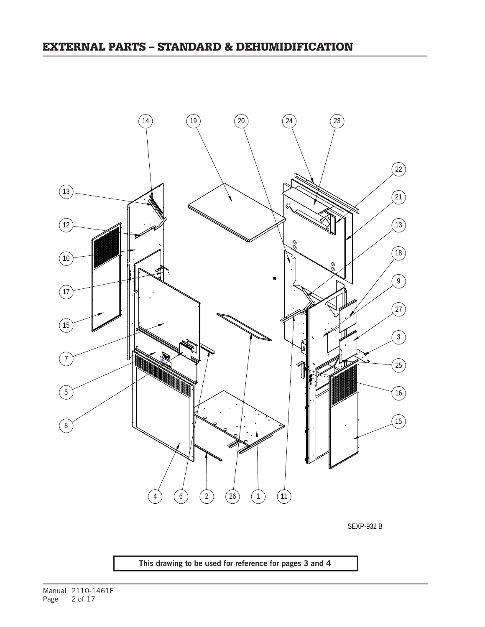

SEXP-932 B

This drawing to be used for reference for pages 3 and 4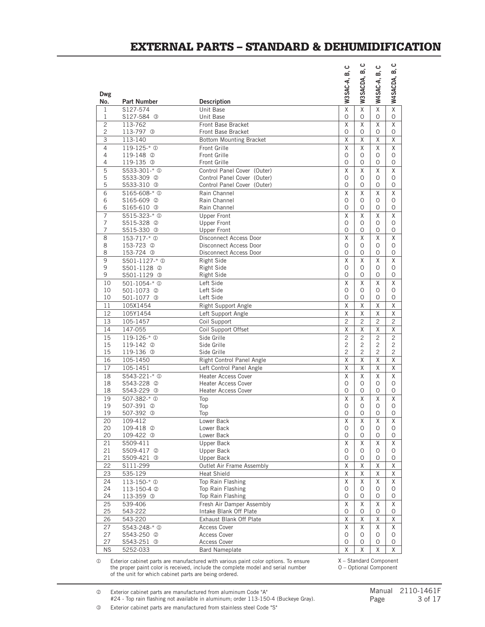#### EXTERNAL PARTS – STANDARD & DEHUMIDIFICATION

| Dwg                 |                                                   |                                                        | W3SAC-A, B, C           | W3SACDA, B, C        | W4SAC-A, B, C        | ں<br>W4SACDA, B,        |
|---------------------|---------------------------------------------------|--------------------------------------------------------|-------------------------|----------------------|----------------------|-------------------------|
| No.<br>1            | Part Number<br>S127-574                           | <b>Description</b><br>Unit Base                        | $\overline{\mathsf{x}}$ | X                    | $\sf X$              | $\overline{\mathsf{x}}$ |
| 1                   | S127-584 3                                        | Unit Base                                              | O                       | O                    | $\circ$              | 0                       |
| $\overline{c}$      | 113-762                                           | Front Base Bracket                                     | Χ                       | X                    | X                    | X                       |
| 2                   | 113-797 <sup>3</sup>                              | Front Base Bracket                                     | 0                       | $\Omega$             | $\Omega$             | 0                       |
| 3                   | 113-140                                           | <b>Bottom Mounting Bracket</b>                         | X                       | X                    | X                    | X                       |
| $\overline{4}$<br>4 | 119-125-* <sup>0</sup><br>119-148 <sup>©</sup>    | <b>Front Grille</b><br><b>Front Grille</b>             | X<br>$\Omega$           | X<br>$\Omega$        | X<br>$\Omega$        | X<br>0                  |
| 4                   | 119-135 <sup>3</sup>                              | <b>Front Grille</b>                                    | O                       | $\Omega$             | $\Omega$             | O                       |
| 5                   | S533-301-* <sup>0</sup>                           | Control Panel Cover (Outer)                            | X                       | X                    | X                    | X                       |
| 5                   | S533-309 2                                        | Control Panel Cover (Outer)                            | O                       | $\Omega$             | $\Omega$             | O                       |
| 5                   | \$533-310 <sup>3</sup>                            | Control Panel Cover (Outer)                            | O                       | $\Omega$             | $\Omega$             | O                       |
| 6<br>6              | \$165-608-* <sup>0</sup><br>S165-609 @            | Rain Channel<br>Rain Channel                           | X<br>O                  | X<br>$\Omega$        | X<br>$\Omega$        | X<br>$\circ$            |
| 6                   | S165-610 ©                                        | Rain Channel                                           | 0                       | $\Omega$             | $\Omega$             | O                       |
| $\overline{7}$      | S515-323-* <sup>1</sup>                           | <b>Upper Front</b>                                     | X                       | X                    | X                    | X                       |
| 7                   | S515-328 <sup>②</sup>                             | <b>Upper Front</b>                                     | $\Omega$                | $\Omega$             | $\Omega$             | O                       |
| 7                   | S515-330 ©                                        | <b>Upper Front</b>                                     | O                       | $\Omega$             | $\Omega$             | O                       |
| 8                   | 153-717-* <sup>(1)</sup>                          | Disconnect Access Door                                 | X                       | X                    | X                    | X                       |
| 8<br>8              | 153-723 <sup>2</sup><br>153-724 <sup>3</sup>      | Disconnect Access Door<br>Disconnect Access Door       | $\Omega$<br>0           | $\Omega$<br>$\Omega$ | $\Omega$<br>$\Omega$ | 0<br>O                  |
| 9                   | S501-1127-* ①                                     | <b>Right Side</b>                                      | Χ                       | X                    | X                    | X                       |
| 9                   | S501-1128 2                                       | <b>Right Side</b>                                      | 0                       | 0                    | $\Omega$             | O                       |
| 9                   | S501-1129 3                                       | <b>Right Side</b>                                      | 0                       | $\Omega$             | $\Omega$             | O                       |
| 10                  | $501 - 1054 - \sqrt{0}$                           | Left Side                                              | X                       | X                    | X                    | X                       |
| 10                  | 501-1073 2                                        | Left Side                                              | 0                       | $\Omega$             | $\Omega$             | 0                       |
| 10<br>11            | 501-1077 ③                                        | Left Side                                              | 0<br>X                  | $\Omega$<br>X        | $\Omega$<br>X        | O<br>X                  |
| 12                  | 105X1454<br>105Y1454                              | Right Support Angle<br>Left Support Angle              | Χ                       | X                    | X                    | Χ                       |
| 13                  | 105-1457                                          | Coil Support                                           | $\overline{c}$          | $\overline{c}$       | $\overline{c}$       | $\overline{c}$          |
| 14                  | 147-055                                           | Coil Support Offset                                    | $\overline{X}$          | X                    | X                    | X                       |
| 15                  | 119-126-* 1                                       | Side Grille                                            | $\overline{c}$          | $\overline{c}$       | $\overline{c}$       | $\overline{c}$          |
| 15                  | 119-142 <sup><b><sup>2</sup></b></sup>            | Side Grille                                            | $\overline{c}$          | 2                    | 2                    | 2                       |
| 15                  | 119-136 <sup>3</sup>                              | Side Grille                                            | $\overline{c}$          | $\overline{c}$       | $\overline{c}$       | 2                       |
| 16                  | 105-1450                                          | Right Control Panel Angle                              | Χ                       | X                    | X                    | X                       |
| 17<br>18            | 105-1451<br>S543-221-* <sup>1</sup>               | Left Control Panel Angle<br><b>Heater Access Cover</b> | Χ<br>X                  | X<br>X               | X<br>X               | Χ<br>X                  |
| 18                  | S543-228 ©                                        | <b>Heater Access Cover</b>                             | O                       | $\Omega$             | $\Omega$             | 0                       |
| 18                  | S543-229 3                                        | <b>Heater Access Cover</b>                             | 0                       | 0                    | $\circ$              | 0                       |
| 19                  | 507-382-* <sup>0</sup>                            | Top                                                    | X                       | X                    | X                    | X                       |
| 19                  | 507-391 2                                         | Top                                                    | 0                       | 0                    | O                    | 0                       |
| 19                  | 507-392 ©                                         | Top                                                    | 0                       | O                    | $\Omega$             | 0                       |
| 20<br>20            | 109-412<br>109-418 2                              | Lower Back<br>Lower Back                               | х<br>O                  | Χ<br>$\circ$         | Χ<br>$\circ$         | Χ<br>0                  |
| 20                  | 109-422 3                                         | Lower Back                                             | O                       | O                    | 0                    | 0                       |
| 21                  | S509-411                                          | Upper Back                                             | Χ                       | X                    | X                    | X                       |
| 21                  | S509-417 2                                        | Upper Back                                             | 0                       | 0                    | 0                    | 0                       |
| 21                  | S509-421 3                                        | Upper Back                                             | 0                       | 0                    | 0                    | 0                       |
| 22                  | S111-299                                          | Outlet Air Frame Assembly<br><b>Heat Shield</b>        | Χ                       | Χ                    | Χ<br>X               | Χ                       |
| 23<br>24            | 535-129<br>113-150-* <sup>0</sup>                 | Top Rain Flashing                                      | Χ<br>Χ                  | Χ<br>X               | X                    | Χ<br>X                  |
| 24                  | 113-150-4 2                                       | Top Rain Flashing                                      | 0                       | 0                    | 0                    | 0                       |
| 24                  | 113-359 <sup>3</sup>                              | Top Rain Flashing                                      | 0                       | 0                    | 0                    | 0                       |
| 25                  | 539-406                                           | Fresh Air Damper Assembly                              | X                       | X                    | X                    | X                       |
| 25                  | 543-222                                           | Intake Blank Off Plate                                 | O                       | 0                    | $\Omega$             | 0                       |
| 26                  | 543-220                                           | Exhaust Blank Off Plate                                | $\overline{X}$          | Χ                    | Χ                    | Χ                       |
| 27<br>27            | \$543-248-* <sup>0</sup><br>S543-250 <sup>2</sup> | <b>Access Cover</b><br><b>Access Cover</b>             | X                       | Χ                    | Χ<br>0               | Χ                       |
| 27                  | S543-251 3                                        | <b>Access Cover</b>                                    | 0<br>0                  | 0<br>0               | $\Omega$             | 0<br>0                  |
| <b>NS</b>           | 5252-033                                          | <b>Bard Nameplate</b>                                  | Χ                       | X                    | X                    | Χ                       |
|                     |                                                   |                                                        |                         |                      |                      |                         |

 Exterior cabinet parts are manufactured with various paint color options. To ensure the proper paint color is received, include the complete model and serial number of the unit for which cabinet parts are being ordered.

X – Standard Component O – Optional Component

k Exterior cabinet parts are manufactured from aluminum Code "A" #24 - Top rain flashing not available in aluminum; order 113-150-4 (Buckeye Gray).

Exterior cabinet parts are manufactured from stainless steel Code "S"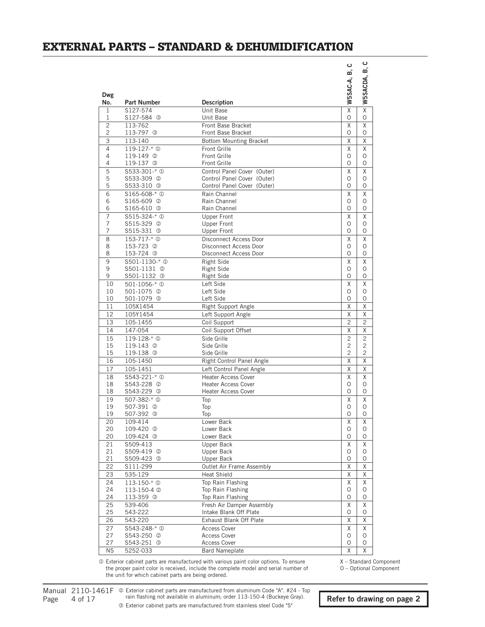#### EXTERNAL PARTS – STANDARD & DEHUMIDIFICATION

| Dwg            |                                                 |                                                   | ပ<br>W5SAC-A, B,     | ပ<br>W5SACDA, B,        |
|----------------|-------------------------------------------------|---------------------------------------------------|----------------------|-------------------------|
| No.<br>1       | <b>Part Number</b><br>S127-574                  | <b>Description</b><br>Unit Base                   | $\overline{X}$       | $\overline{\mathsf{x}}$ |
| 1              | S127-584 3                                      | Unit Base                                         | 0                    | $\circ$                 |
| $\overline{c}$ | 113-762                                         | Front Base Bracket                                | X                    | X                       |
| 2              | 113-797 3                                       | Front Base Bracket                                | 0                    | 0                       |
| 3              | 113-140                                         | <b>Bottom Mounting Bracket</b>                    | X                    | X                       |
| 4              | $119 - 127 - * 0$                               | Front Grille                                      | X                    | Χ                       |
| 4<br>4         | 119-149 <sup><b><sup>2</sup></b></sup>          | <b>Front Grille</b><br><b>Front Grille</b>        | $\Omega$<br>$\Omega$ | $\circ$<br>O            |
| 5              | 119-137 <sup>3</sup><br>S533-301-* <sup>0</sup> | Control Panel Cover (Outer)                       | X                    | X                       |
| 5              | S533-309 2                                      | Control Panel Cover (Outer)                       | $\Omega$             | 0                       |
| 5              | \$533-310 <sup>3</sup>                          | Control Panel Cover (Outer)                       | $\Omega$             | $\circ$                 |
| 6              | $$165-608-*$ ①                                  | Rain Channel                                      | X                    | X                       |
| 6              | S165-609 2                                      | Rain Channel                                      | O                    | $\Omega$                |
| 6              | S165-610 <sup>3</sup>                           | Rain Channel                                      | $\Omega$             | 0                       |
| $\overline{7}$ | S515-324-* ①                                    | <b>Upper Front</b>                                | X                    | X                       |
| 7<br>7         | S515-329 <sup>②</sup>                           | <b>Upper Front</b>                                | 0<br>$\Omega$        | $\circ$<br>$\circ$      |
| 8              | S515-331 3<br>$153 - 717 - * 0$                 | <b>Upper Front</b>                                | X                    | X                       |
| 8              | 153-723 2                                       | Disconnect Access Door<br>Disconnect Access Door  | $\Omega$             | $\circ$                 |
| 8              | 153-724 3                                       | Disconnect Access Door                            | $\Omega$             | 0                       |
| 9              | S501-1130-* <sup>①</sup>                        | <b>Right Side</b>                                 | X                    | X                       |
| 9              | S501-1131 2                                     | Right Side                                        | $\Omega$             | O                       |
| 9              | S501-1132 <b>3</b>                              | Right Side                                        | $\Omega$             | $\Omega$                |
| 10             | 501-1056-* <sup>0</sup>                         | Left Side                                         | X                    | X                       |
| 10             | 501-1075 2                                      | Left Side                                         | 0                    | $\circ$                 |
| 10             | 501-1079 3                                      | Left Side                                         | 0                    | 0                       |
| 11             | 105X1454                                        | Right Support Angle                               | X                    | X                       |
| 12             | 105Y1454                                        | Left Support Angle                                | X                    | X                       |
| 13             | 105-1455                                        | Coil Support                                      | $\overline{c}$       | $\overline{c}$          |
| 14             | 147-054                                         | Coil Support Offset                               | X                    | X                       |
| 15<br>15       | 119-128-* <sup>0</sup><br>119-143 2             | Side Grille<br>Side Grille                        | $\overline{c}$<br>2  | $\overline{c}$<br>2     |
| 15             | 119-138 <sup>3</sup>                            | Side Grille                                       | $\overline{c}$       | 2                       |
| 16             | 105-1450                                        | Right Control Panel Angle                         | $\overline{X}$       | X                       |
| 17             | 105-1451                                        | Left Control Panel Angle                          | X                    | Χ                       |
| 18             | S543-221-* ①                                    | <b>Heater Access Cover</b>                        | X                    | X                       |
| 18             | S543-228 <sup>2</sup>                           | <b>Heater Access Cover</b>                        | 0                    | O                       |
| 18             | S543-229 3                                      | <b>Heater Access Cover</b>                        | 0                    | 0                       |
| 19             | 507-382-* <sup>0</sup>                          | Top                                               | Χ                    | Χ                       |
| 19             | 507-391 2                                       | Top                                               | 0                    | $\circ$                 |
| 19             | 507-392 3                                       | Top                                               | $\circ$              | $\mathsf O$             |
| 20<br>20       | 109-414<br>109-420 2                            | Lower Back<br>Lower Back                          | Χ<br>0               | Χ<br>0                  |
| 20             | 109-424 3                                       | Lower Back                                        | 0                    | 0                       |
| 21             | S509-413                                        | Upper Back                                        | Χ                    | Χ                       |
| 21             | S509-419 2                                      | Upper Back                                        | 0                    | 0                       |
| 21             | S509-423 3                                      | Upper Back                                        | 0                    | 0                       |
| 22             | S111-299                                        | Outlet Air Frame Assembly                         | Χ                    | Χ                       |
| 23             | 535-129                                         | <b>Heat Shield</b>                                | Χ                    | Χ                       |
| 24             | 113-150-* <sup>0</sup>                          | Top Rain Flashing                                 | Χ                    | Χ                       |
| 24             | 113-150-4 2                                     | Top Rain Flashing                                 | 0                    | 0                       |
| 24             | 113-359 <sup>3</sup>                            | Top Rain Flashing                                 | 0                    | 0                       |
| 25             | 539-406                                         | Fresh Air Damper Assembly                         | Χ<br>0               | Χ<br>0                  |
| 25<br>26       | 543-222<br>543-220                              | Intake Blank Off Plate<br>Exhaust Blank Off Plate | Χ                    | Χ                       |
| 27             | \$543-248-* ①                                   | Access Cover                                      | Χ                    | Χ                       |
| 27             | S543-250 <sup>②</sup>                           | Access Cover                                      | 0                    | 0                       |
| 27             | S543-251 3                                      | <b>Access Cover</b>                               | 0                    | 0                       |
| <b>NS</b>      | 5252-033                                        | <b>Bard Nameplate</b>                             | Χ                    | Χ                       |

 Exterior cabinet parts are manufactured with various paint color options. To ensure the proper paint color is received, include the complete model and serial number of the unit for which cabinet parts are being ordered.

Page 4 of 17

Manual 2110-1461F © Exterior cabinet parts are manufactured from aluminum Code "A". #24 - Top rain flashing not available in aluminum; order 113-150-4 (Buckeye Gray). Exterior cabinet parts are manufactured from stainless steel Code "S"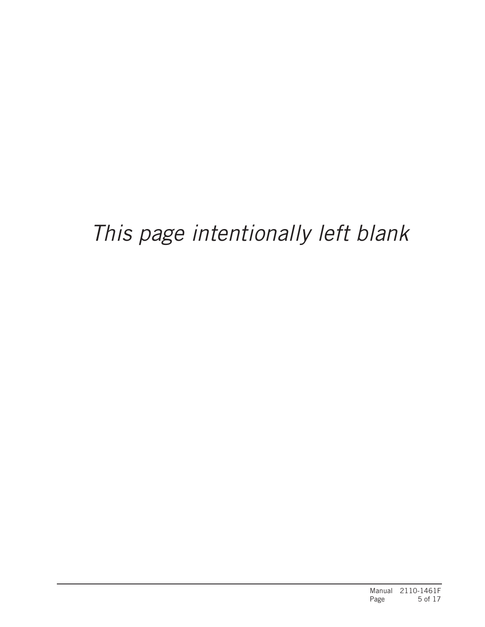# *This page intentionally left blank*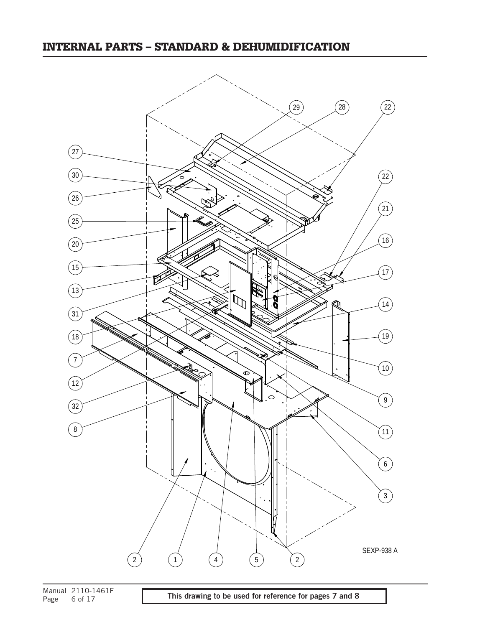#### INTERNAL PARTS – STANDARD & DEHUMIDIFICATION

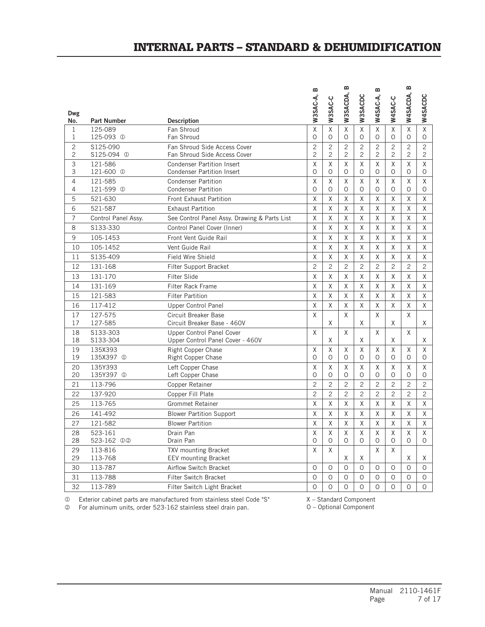#### INTERNAL PARTS – STANDARD & DEHUMIDIFICATION

|                     |                                  |                                                                      |                     |                     |                |                     |                |                     | m                   |                     |
|---------------------|----------------------------------|----------------------------------------------------------------------|---------------------|---------------------|----------------|---------------------|----------------|---------------------|---------------------|---------------------|
|                     |                                  |                                                                      |                     |                     |                |                     |                |                     |                     |                     |
| Dwg                 |                                  |                                                                      | W3SAC-A,            | W3SAC-C             | W3SACDA,       | W3SACDC             | W4SAC-A, B     | W4SAC-C             | W4SACDA,            | W4SACDC             |
| No.                 | <b>Part Number</b>               | <b>Description</b>                                                   |                     |                     |                |                     |                |                     |                     |                     |
| $\mathbf{1}$        | 125-089                          | Fan Shroud                                                           | Χ                   | X                   | X              | Χ                   | Χ              | $\mathsf X$         | Χ                   | X                   |
| $\mathbf{1}$        | 125-093 <sup>0</sup>             | Fan Shroud                                                           | $\circ$             | $\circ$             | 0              | $\circ$             | $\Omega$       | $\Omega$            | $\circ$             | $\circ$             |
| $\overline{c}$      | S125-090                         | Fan Shroud Side Access Cover                                         | $\overline{c}$      | $\mathbf{2}$        | $\overline{c}$ | $\overline{c}$      | $\overline{c}$ | $\overline{c}$<br>2 | $\overline{c}$      | $\overline{c}$      |
| $\overline{c}$<br>3 | S125-094 <sup>①</sup><br>121-586 | Fan Shroud Side Access Cover<br><b>Condenser Partition Insert</b>    | $\overline{c}$<br>X | $\overline{2}$<br>X | 2<br>Χ         | $\overline{c}$<br>X | 2<br>X         | X                   | $\overline{2}$<br>X | $\overline{2}$<br>X |
| 3                   | 121-600 <sup>1</sup>             | <b>Condenser Partition Insert</b>                                    | $\Omega$            | $\Omega$            | $\Omega$       | $\Omega$            | $\Omega$       | $\Omega$            | $\Omega$            | $\Omega$            |
| $\overline{4}$      | 121-585                          | <b>Condenser Partition</b>                                           | $\times$            | Χ                   | X              | Χ                   | Χ              | X                   | X                   | Χ                   |
| 4                   | 121-599 <sup>1</sup>             | <b>Condenser Partition</b>                                           | $\circ$             | 0                   | 0              | 0                   | 0              | 0                   | 0                   | 0                   |
| 5                   | 521-630                          | <b>Front Exhaust Partition</b>                                       | $\sf X$             | Χ                   | X              | X                   | X              | X                   | Χ                   | $\sf X$             |
| 6                   | 521-587                          | <b>Exhaust Partition</b>                                             | X                   | X                   | X              | X                   | X              | X                   | Χ                   | X                   |
| $\overline{7}$      | Control Panel Assy.              | See Control Panel Assy. Drawing & Parts List                         | X                   | X                   | X              | X                   | X              | X                   | X                   | X                   |
| 8                   | S133-330                         | Control Panel Cover (Inner)                                          | $\times$            | X                   | X              | X                   | X              | X                   | X                   | X                   |
| 9                   | 105-1453                         | Front Vent Guide Rail                                                | X                   | X                   | X              | X                   | X              | X                   | X                   | X                   |
| 10                  | 105-1452                         | Vent Guide Rail                                                      | X                   | X                   | X              | X                   | X              | X                   | X                   | X                   |
| 11                  | S135-409                         | <b>Field Wire Shield</b>                                             | X                   | X                   | X              | X                   | X              | X                   | X                   | X                   |
| 12                  | 131-168                          | <b>Filter Support Bracket</b>                                        | $\overline{c}$      | $\overline{c}$      | $\overline{c}$ | $\overline{c}$      | $\overline{c}$ | $\overline{c}$      | $\overline{c}$      | $\overline{c}$      |
| 13                  | 131-170                          | Filter Slide                                                         | X                   | $\mathsf X$         | Χ              | $\mathsf X$         | $\mathsf X$    | X                   | X                   | X                   |
| 14                  | 131-169                          | Filter Rack Frame                                                    | X                   | X                   | X              | X                   | X              | X                   | X                   | X                   |
| 15                  | 121-583                          | <b>Filter Partition</b>                                              | X                   | X                   | X              | X                   | X              | X                   | X                   | X                   |
| 16                  | 117-412                          | <b>Upper Control Panel</b>                                           | $\mathsf{X}$        | X                   | X              | X                   | X              | X                   | X                   | X                   |
| 17                  | 127-575                          | Circuit Breaker Base                                                 | $\mathsf{X}$        |                     | X              |                     | $\mathsf{X}$   |                     | X                   |                     |
| 17                  | 127-585                          | Circuit Breaker Base - 460V                                          |                     | X                   |                | X                   |                | X                   |                     | X                   |
| 18<br>18            | S133-303<br>S133-304             | <b>Upper Control Panel Cover</b><br>Upper Control Panel Cover - 460V | X                   | X                   | X              | X                   | X              | X                   | X                   | Χ                   |
| 19                  | 135X393                          | <b>Right Copper Chase</b>                                            | X                   | X                   | X              | X                   | X              | X                   | X                   | X                   |
| 19                  | 135X397 <sup>1</sup>             | <b>Right Copper Chase</b>                                            | $\circ$             | $\circ$             | $\circ$        | $\circ$             | $\circ$        | 0                   | 0                   | $\circ$             |
| 20                  | 135Y393                          | Left Copper Chase                                                    | X                   | Χ                   | X              | X                   | Χ              | X                   | X                   | Χ                   |
| 20                  | 135Y397 <sup>1</sup>             | Left Copper Chase                                                    | $\circ$             | $\circ$             | $\circ$        | $\circ$             | $\circ$        | O                   | 0                   | $\circ$             |
| 21                  | 113-796                          | Copper Retainer                                                      | $\overline{c}$      | $\overline{2}$      | $\overline{c}$ | $\overline{c}$      | $\overline{c}$ | $\overline{c}$      | $\overline{c}$      | $\overline{c}$      |
| 22                  | 137-920                          | Copper Fill Plate                                                    | $\overline{c}$      | $\overline{c}$      | $\overline{c}$ | $\overline{c}$      | $\overline{c}$ | $\overline{2}$      | $\overline{c}$      | $\overline{c}$      |
| 25                  | 113-765                          | <b>Grommet Retainer</b>                                              | X                   | X                   | Χ              | X                   | X              | X                   | X                   | X                   |
| 26                  | 141-492                          | <b>Blower Partition Support</b>                                      | X                   | X                   | X              | Χ                   | X              | X                   | X                   | Χ                   |
| 27                  | 121-582                          | <b>Blower Partition</b>                                              | $\mathsf X$         | Χ                   | Χ              | X                   | Χ              | Χ                   | X                   | X                   |
| 28                  | 523-161                          | Drain Pan                                                            | Χ                   | X                   | X              | X                   | Χ              | X                   | Χ                   | X                   |
| 28                  | 523-162 00                       | Drain Pan                                                            | $\circ$             | $\circ$             | $\Omega$       | $\Omega$            | $\circ$        | $\Omega$            | $\Omega$            | $\Omega$            |
| 29<br>29            | 113-816<br>113-768               | <b>TXV mounting Bracket</b><br><b>EEV mounting Bracket</b>           | $\mathsf{X}$        | $\mathsf{X}$        | X              | X                   | X              | X                   | X                   | X                   |
| 30                  | 113-787                          | Airflow Switch Bracket                                               | $\Omega$            | $\Omega$            | $\Omega$       | $\Omega$            | $\Omega$       | $\Omega$            | $\Omega$            | $\Omega$            |
| 31                  | 113-788                          | <b>Filter Switch Bracket</b>                                         | $\circ$             | $\circ$             | $\circ$        | $\circ$             | 0              | O                   | 0                   | $\circ$             |
| 32                  | 113-789                          | Filter Switch Light Bracket                                          | $\overline{O}$      | $\circ$             | $\overline{O}$ | $\overline{O}$      | $\Omega$       | $\overline{O}$      | $\overline{O}$      | $\overline{O}$      |
|                     |                                  |                                                                      |                     |                     |                |                     |                |                     |                     |                     |

Exterior cabinet parts are manufactured from stainless steel Code "S"

X – Standard Component O – Optional Component

k For aluminum units, order 523-162 stainless steel drain pan.

Manual 2110-1461F<br>Page 7 of 17 7 of 17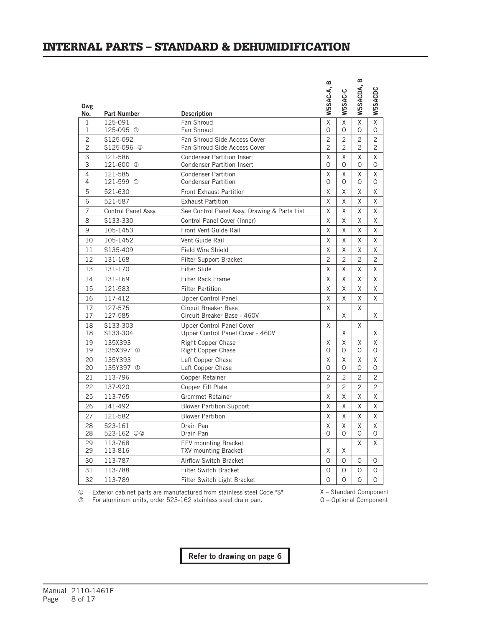#### INTERNAL PARTS – STANDARD & DEHUMIDIFICATION

| Dwg<br>No.          | <b>Part Number</b>                | <b>Description</b>                                                     | ≃<br>W5SAC-A,                    | W5SAC-C                          | ≃<br>W5SACDA,                    | <b>W5SACDC</b>      |
|---------------------|-----------------------------------|------------------------------------------------------------------------|----------------------------------|----------------------------------|----------------------------------|---------------------|
| $\mathbf{1}$<br>1   | 125-091<br>125-095 <sup>1</sup>   | Fan Shroud<br>Fan Shroud                                               | $\sf X$<br>$\Omega$              | Χ<br>$\Omega$                    | Χ<br>$\Omega$                    | Χ<br>$\Omega$       |
| $\mathbf{2}$<br>2   | S125-092<br>S125-096 <sup>1</sup> | Fan Shroud Side Access Cover<br>Fan Shroud Side Access Cover           | $\overline{c}$<br>$\overline{c}$ | $\overline{c}$<br>$\overline{c}$ | $\overline{c}$<br>$\overline{c}$ | $\overline{c}$<br>2 |
| 3<br>3              | 121-586<br>121-600 <sup>1</sup>   | <b>Condenser Partition Insert</b><br><b>Condenser Partition Insert</b> | Χ<br>0                           | X<br>O                           | X<br>$\Omega$                    | X<br>0              |
| $\overline{4}$<br>4 | 121-585<br>121-599 <sup>1</sup>   | <b>Condenser Partition</b><br><b>Condenser Partition</b>               | X<br>0                           | X<br>0                           | X<br>0                           | X<br>0              |
| 5                   | 521-630                           | <b>Front Exhaust Partition</b>                                         | X                                | X                                | X                                | X                   |
| 6                   | 521-587                           | <b>Exhaust Partition</b>                                               | X                                | X                                | X                                | X                   |
| 7                   | Control Panel Assy.               | See Control Panel Assy. Drawing & Parts List                           | X                                | Χ                                | X                                | X                   |
| 8                   | S133-330                          | Control Panel Cover (Inner)                                            | Χ                                | Χ                                | X                                | X                   |
| 9                   | 105-1453                          | Front Vent Guide Rail                                                  | Χ                                | X                                | X                                | X                   |
| 10                  | 105-1452                          | Vent Guide Rail                                                        | X                                | X                                | X                                | X                   |
| 11                  | S135-409                          | Field Wire Shield                                                      | X                                | X                                | X                                | X                   |
| 12                  | 131-168                           | Filter Support Bracket                                                 | $\overline{c}$                   | $\overline{c}$                   | $\overline{c}$                   | $\overline{c}$      |
| 13                  | 131-170                           | Filter Slide                                                           | X                                | X                                | X                                | X                   |
| 14                  | 131-169                           | <b>Filter Rack Frame</b>                                               | X                                | X                                | X                                | X                   |
| 15                  | 121-583                           | <b>Filter Partition</b>                                                | Χ                                | Χ                                | Χ                                | X                   |
| 16                  | 117-412                           | <b>Upper Control Panel</b>                                             | X                                | X                                | X                                | X                   |
| 17<br>17            | 127-575<br>127-585                | Circuit Breaker Base<br>Circuit Breaker Base - 460V                    | Χ                                | X                                | X                                | X                   |
| 18<br>18            | S133-303<br>S133-304              | Upper Control Panel Cover<br>Upper Control Panel Cover - 460V          | X                                | X                                | X                                | X                   |
| 19<br>19            | 135X393<br>135X397 <sup>1</sup>   | Right Copper Chase<br>Right Copper Chase                               | X<br>$\circ$                     | X<br>O                           | X<br>$\Omega$                    | X<br>O              |
| 20<br>20            | 135Y393<br>135Y397 1              | Left Copper Chase<br>Left Copper Chase                                 | X<br>$\Omega$                    | X<br>O                           | X<br>$\Omega$                    | X<br>O              |
| 21                  | 113-796                           | Copper Retainer                                                        | $\overline{c}$                   | $\overline{c}$                   | $\overline{c}$                   | $\overline{c}$      |
| 22                  | 137-920                           | Copper Fill Plate                                                      | $\overline{c}$                   | $\overline{c}$                   | $\overline{c}$                   | $\overline{c}$      |
| 25                  | 113-765                           | <b>Grommet Retainer</b>                                                | X                                | X                                | X                                | X                   |
| 26                  | 141-492                           | <b>Blower Partition Support</b>                                        | X                                | X                                | X                                | X                   |
| 27                  | 121-582                           | <b>Blower Partition</b>                                                | X                                | X                                | X                                | X                   |
| 28                  | 523-161                           | Drain Pan                                                              | X                                | Χ                                | X                                | X                   |
| 28                  | 523-162 00                        | Drain Pan                                                              | 0                                | 0                                | $\circ$                          | 0                   |
| 29<br>29            | 113-768<br>113-816                | <b>EEV mounting Bracket</b><br>TXV mounting Bracket                    | Χ                                | Χ                                | Χ                                | Χ                   |
| 30                  | 113-787                           | Airflow Switch Bracket                                                 | 0                                | 0                                | 0                                | 0                   |
| 31                  | 113-788                           | <b>Filter Switch Bracket</b>                                           | 0                                | 0                                | 0                                | O                   |
| 32                  | 113-789                           | Filter Switch Light Bracket                                            | 0                                | 0                                | 0                                | 0                   |

X – Standard Component O - Optional Component

k For aluminum units, order 523-162 stainless steel drain pan.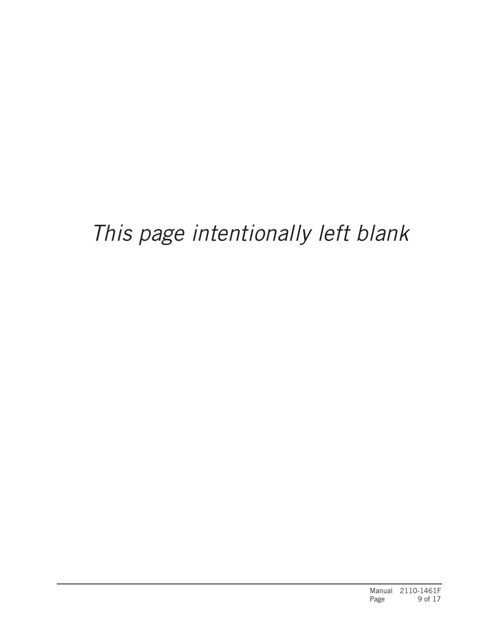# *This page intentionally left blank*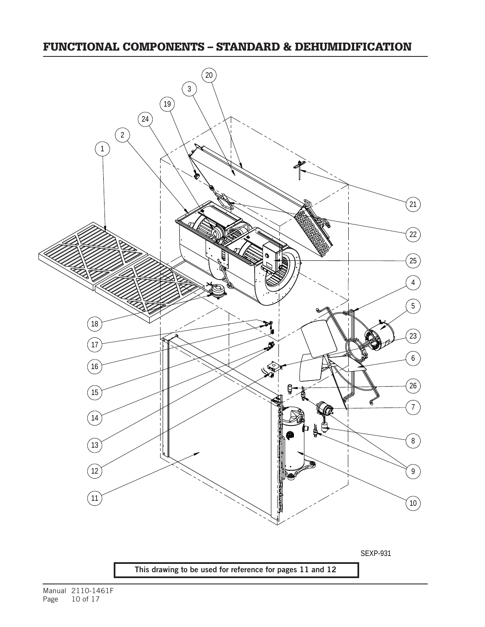#### FUNCTIONAL COMPONENTS – STANDARD & DEHUMIDIFICATION

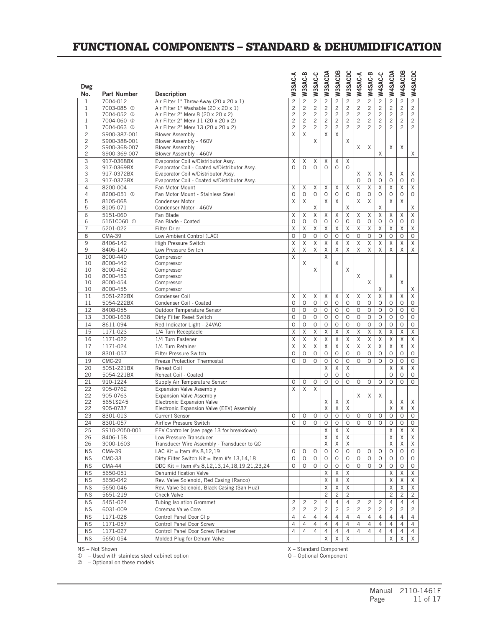#### FUNCTIONAL COMPONENTS – STANDARD & DEHUMIDIFICATION

| Dwg                              |                                         |                                                                                | W3SAC-A                          | W3SAC-B                          | W3SAC-C                          | W3SACDA                          | W3SACDB                          | W3SACDC                          | W4SAC-A                        | W4SAC-B                          | W4SAC-C                          | W4SACDA                          | W4SACDB                          | $\sim$ W4SACDC                   |
|----------------------------------|-----------------------------------------|--------------------------------------------------------------------------------|----------------------------------|----------------------------------|----------------------------------|----------------------------------|----------------------------------|----------------------------------|--------------------------------|----------------------------------|----------------------------------|----------------------------------|----------------------------------|----------------------------------|
| No.                              | <b>Part Number</b>                      | <b>Description</b>                                                             |                                  |                                  |                                  |                                  |                                  |                                  |                                |                                  |                                  |                                  |                                  |                                  |
| $\mathbf{1}$<br>1                | 7004-012<br>7003-085 <sup>2</sup>       | Air Filter 1" Throw-Away (20 x 20 x 1)<br>Air Filter 1" Washable (20 x 20 x 1) | $\overline{2}$<br>$\overline{c}$ | $\overline{c}$<br>$\overline{c}$ | $\overline{c}$<br>$\overline{c}$ | $\overline{c}$<br>$\overline{c}$ | $\overline{c}$<br>$\overline{c}$ | $\overline{c}$<br>$\overline{c}$ | $\overline{c}$<br>$\mathbf{2}$ | $\overline{c}$<br>$\overline{c}$ | $\overline{2}$<br>$\overline{c}$ | $\overline{c}$<br>$\overline{c}$ | $\overline{2}$<br>$\overline{c}$ | $\sqrt{2}$                       |
| 1                                | 7004-052 <sup>2</sup>                   | Air Filter 2" Merv 8 (20 x 20 x 2)                                             | $\overline{c}$                   | $\mathbf{2}$                     | $\overline{c}$                   | $\overline{c}$                   | $\overline{c}$                   | $\overline{c}$                   | 2                              | $\overline{c}$                   | $\overline{c}$                   | 2                                | $\overline{c}$                   | $\sqrt{2}$                       |
| 1                                | 7004-060 <sup><b><sup>2</sup></b></sup> | Air Filter 2" Merv 11 (20 x 20 x 2)                                            | $\overline{c}$                   | $\overline{c}$                   | $\overline{c}$                   | $\overline{c}$                   | $\overline{c}$                   | $\overline{c}$                   | 2                              | $\overline{c}$                   | $\overline{c}$                   | $\overline{2}$                   | $\overline{c}$                   | $\sqrt{2}$                       |
| $\mathbf{1}$                     | 7004-063 <sup>2</sup>                   | Air Filter 2" Merv 13 (20 x 20 x 2)                                            | $\overline{c}$                   | $\overline{c}$                   | $\overline{c}$                   | $\overline{c}$                   | $\overline{c}$                   | $\overline{c}$                   | $\overline{c}$                 | $\overline{c}$                   | $\overline{c}$                   | $\overline{c}$                   | $\overline{c}$                   | $\overline{c}$                   |
| $\overline{c}$                   | S900-387-001                            | <b>Blower Assembly</b>                                                         | X                                | X                                |                                  | X                                | X                                |                                  |                                |                                  |                                  |                                  |                                  |                                  |
| $\overline{c}$<br>$\overline{c}$ | S900-388-001                            | Blower Assembly - 460V<br><b>Blower Assembly</b>                               |                                  |                                  | X                                |                                  |                                  | X                                | X                              | X                                |                                  | X                                | X                                |                                  |
| $\overline{c}$                   | S900-368-007<br>S900-369-007            | Blower Assembly - 460V                                                         |                                  |                                  |                                  |                                  |                                  |                                  |                                |                                  | X                                |                                  |                                  | X                                |
| 3                                | 917-0368BX                              | Evaporator Coil w/Distributor Assy.                                            | X                                | X                                | Χ                                | X                                | Χ                                | X                                |                                |                                  |                                  |                                  |                                  |                                  |
| 3                                | 917-0369BX                              | Evaporator Coil - Coated w/Distributor Assy.                                   | $\Omega$                         | $\Omega$                         | $\circ$                          | $\Omega$                         | $\Omega$                         | $\Omega$                         |                                |                                  |                                  |                                  |                                  |                                  |
| 3                                | 917-0372BX                              | Evaporator Coil w/Distributor Assy.                                            |                                  |                                  |                                  |                                  |                                  |                                  | Χ                              | χ                                | Χ                                | Χ                                | Χ                                | Χ                                |
| 3                                | 917-0373BX                              | Evaporator Coil - Coated w/Distributor Assy.                                   |                                  |                                  |                                  |                                  |                                  |                                  | $\circ$                        | 0                                | $\circ$                          | O                                | $\circ$                          | 0                                |
| $\overline{4}$<br>4              | 8200-004<br>8200-051 <sup>0</sup>       | Fan Motor Mount<br>Fan Motor Mount - Stainless Steel                           | X<br>0                           | χ<br>0                           | Χ<br>0                           | χ<br>0                           | X<br>0                           | Χ<br>0                           | χ<br>0                         | X<br>0                           | X<br>0                           | Χ<br>0                           | X<br>0                           | $\overline{X}$<br>0              |
| 5                                | 8105-068                                | Condenser Motor                                                                | X                                | X                                |                                  | X                                | $\sf X$                          |                                  | X                              | X                                |                                  | X                                | X                                |                                  |
| 5                                | 8105-071                                | Condenser Motor - 460V                                                         |                                  |                                  | χ                                |                                  |                                  | χ                                |                                |                                  | Χ                                |                                  |                                  | Χ                                |
| 6                                | 5151-060                                | Fan Blade                                                                      | X                                | Χ                                | X                                | X                                | X                                | X                                | X                              | Χ                                | Χ                                | Χ                                | X                                | X                                |
| 6                                | 5151C060 <sup>0</sup>                   | Fan Blade - Coated                                                             | 0                                | 0                                | 0                                | 0                                | 0                                | 0                                | 0                              | 0                                | 0                                | 0                                | 0                                | 0                                |
| 7                                | 5201-022                                | <b>Filter Drier</b>                                                            | X                                | Χ                                | X                                | Χ                                | χ                                | Χ                                | X                              | Χ                                | Χ                                | X                                | χ                                | X                                |
| 8                                | <b>CMA-39</b>                           | Low Ambient Control (LAC)                                                      | 0                                | 0                                | 0                                | $\circ$                          | $\circ$                          | $\overline{O}$                   | $\circ$                        | 0                                | $\circ$                          | $\circ$                          | $\overline{O}$                   | 0                                |
| 9<br>9                           | 8406-142<br>8406-140                    | High Pressure Switch<br>Low Pressure Switch                                    | X<br>Χ                           | X<br>Χ                           | X<br>Χ                           | X<br>Χ                           | $\sf X$<br>Χ                     | X<br>Χ                           | X<br>Χ                         | X<br>Χ                           | X<br>X                           | X<br>Χ                           | X<br>Χ                           | X<br>X                           |
| 10                               | 8000-440                                | Compressor                                                                     | X                                |                                  |                                  | $\overline{X}$                   |                                  |                                  |                                |                                  |                                  |                                  |                                  |                                  |
| 10                               | 8000-442                                | Compressor                                                                     |                                  | X                                |                                  |                                  | X                                |                                  |                                |                                  |                                  |                                  |                                  |                                  |
| 10                               | 8000-452                                | Compressor                                                                     |                                  |                                  | Χ                                |                                  |                                  | Χ                                |                                |                                  |                                  |                                  |                                  |                                  |
| 10                               | 8000-453                                | Compressor                                                                     |                                  |                                  |                                  |                                  |                                  |                                  | X                              |                                  |                                  | X                                |                                  |                                  |
| 10<br>10                         | 8000-454<br>8000-455                    | Compressor<br>Compressor                                                       |                                  |                                  |                                  |                                  |                                  |                                  |                                | X                                | Χ                                |                                  | Χ                                | Χ                                |
| 11                               | 5051-222BX                              | Condenser Coil                                                                 | Χ                                | Χ                                | Χ                                | Χ                                | X                                | Χ                                | X                              | Χ                                | Χ                                | Χ                                | X                                | X                                |
| 11                               | 5054-222BX                              | Condenser Coil - Coated                                                        | 0                                | 0                                | 0                                | 0                                | $\circ$                          | 0                                | 0                              | 0                                | 0                                | 0                                | $\circ$                          | 0                                |
| 12                               | 8408-055                                | Outdoor Temperature Sensor                                                     | $\Omega$                         | $\circ$                          | $\circ$                          | $\circ$                          | $\circ$                          | 0                                | $\circ$                        | $\overline{O}$                   | $\circ$                          | $\circ$                          | $\overline{O}$                   | 0                                |
| 13                               | 3000-1638                               | Dirty Filter Reset Switch                                                      | 0                                | $\circ$                          | 0                                | $\circ$                          | $\circ$                          | $\overline{O}$                   | $\circ$                        | 0                                | $\circ$                          | $\circ$                          | $\circ$                          | 0                                |
| 14                               | 8611-094                                | Red Indicator Light - 24VAC                                                    | 0                                | $\overline{O}$                   | $\circ$                          | $\circ$                          | $\circ$                          | $\circ$                          | $\circ$                        | $\overline{O}$                   | $\circ$                          | $\circ$                          | $\circ$                          | $\mathbf 0$                      |
| 15                               | 1171-023                                | 1/4 Turn Receptacle                                                            | Χ                                | Χ                                | χ                                | X                                | $\overline{X}$                   | Χ                                | Χ                              | χ                                | Χ                                | Χ                                | χ                                | X                                |
| 16<br>17                         | 1171-022<br>1171-024                    | 1/4 Turn Fastener<br>1/4 Turn Retainer                                         | X<br>X                           | χ<br>Χ                           | Χ<br>χ                           | χ<br>Χ                           | X<br>χ                           | X<br>X                           | Χ<br>X                         | Χ<br>χ                           | X<br>Χ                           | Χ<br>Χ                           | χ<br>X                           | X<br>Χ                           |
| 18                               | 8301-057                                | Filter Pressure Switch                                                         | $\Omega$                         | $\circ$                          | 0                                | $\circ$                          | $\circ$                          | $\overline{O}$                   | $\circ$                        | $\circ$                          | $\circ$                          | $\circ$                          | $\circ$                          | 0                                |
| 19                               | <b>CMC-29</b>                           | Freeze Protection Thermostat                                                   | $\Omega$                         | $\circ$                          | 0                                | $\overline{O}$                   | $\circ$                          | 0                                | $\Omega$                       | $\Omega$                         | $\Omega$                         | $\circ$                          | $\circ$                          | 0                                |
| 20                               | 5051-221BX                              | <b>Reheat Coil</b>                                                             |                                  |                                  |                                  | X                                | X                                | X                                |                                |                                  |                                  | Χ                                | X                                | Χ                                |
| 20                               | 5054-221BX                              | Reheat Coil - Coated                                                           |                                  |                                  |                                  | 0                                | 0                                | $\circ$                          |                                |                                  |                                  | 0                                | 0                                | 0                                |
| 21                               | 910-1224                                | Supply Air Temperature Sensor                                                  | 0                                | 0                                | 0                                | $\circ$                          | $\Omega$                         | $\circ$                          | $\circ$                        | 0                                | $\circ$                          | $\circ$                          | $\circ$                          | $\circ$                          |
| 22<br>22                         | 905-0762<br>905-0763                    | <b>Expansion Valve Assembly</b><br><b>Expansion Valve Assembly</b>             | X                                | X                                | $\sf X$                          |                                  |                                  |                                  | X                              | Χ                                | X                                |                                  |                                  |                                  |
| 22                               | 5651S245                                | Electronic Expansion Valve                                                     |                                  |                                  |                                  | Χ                                | Χ                                | Χ                                |                                |                                  |                                  | Χ                                | Χ                                | Χ                                |
| 22                               | 905-0737                                | Electronic Expansion Valve (EEV) Assembly                                      |                                  |                                  |                                  | χ                                | Χ                                | Χ                                |                                |                                  |                                  | Χ                                | Χ                                | Χ                                |
| 23                               | 8301-013                                | <b>Current Sensor</b>                                                          | $\Omega$                         | 0                                | 0                                | $\Omega$                         | $\overline{O}$                   | $\overline{O}$                   | $\Omega$                       | 0                                | 0                                | $\overline{O}$                   | $\Omega$                         | 0                                |
| 24                               | 8301-057                                | Airflow Pressure Switch                                                        | 0                                | $\mathsf O$                      | $\mathsf O$                      | $\overline{0}$                   | $\mathsf O$                      | $\mathsf O$                      | $\overline{O}$                 | $\mathsf O$                      | $\circ$                          | $\circ$                          | $\overline{O}$                   | $\overline{O}$                   |
| 25                               | S910-2050-001                           | EEV Controller (see page 13 for breakdown)                                     |                                  |                                  |                                  | X                                | Χ                                | Χ                                |                                |                                  |                                  | X                                | Χ                                | Χ                                |
| 26                               | 8406-158                                | Low Pressure Transducer<br>Transducer Wire Assembly - Transducer to QC         |                                  |                                  |                                  | Χ                                | Χ                                | Χ<br>Χ                           |                                |                                  |                                  | Χ                                | Χ                                | Χ                                |
| 26<br><b>NS</b>                  | 3000-1603<br>CMA-39                     | LAC Kit = Item #'s $8,12,19$                                                   | 0                                | 0                                | 0                                | Χ<br>0                           | Χ<br>$\circ$                     | 0                                | 0                              | 0                                | 0                                | Χ<br>0                           | Χ<br>0                           | X<br>0                           |
| <b>NS</b>                        | $CMC-33$                                | Dirty Filter Switch Kit = Item #'s 13,14,18                                    | 0                                | 0                                | 0                                | 0                                | 0                                | 0                                | 0                              | 0                                | 0                                | 0                                | 0                                | 0                                |
| <b>NS</b>                        | CMA-44                                  | DDC Kit = Item #'s 8,12,13,14,18,19,21,23,24                                   | 0                                | 0                                | 0                                | 0                                | 0                                | 0                                | 0                              | 0                                | 0                                | 0                                | 0                                | 0                                |
| <b>NS</b>                        | 5650-051                                | Dehumidification Valve                                                         |                                  |                                  |                                  | Χ                                | Χ                                | χ                                |                                |                                  |                                  | Χ                                | Χ                                | X                                |
| <b>NS</b>                        | 5650-042                                | Rev. Valve Solenoid, Red Casing (Ranco)                                        |                                  |                                  |                                  | Χ                                | Χ                                | Χ                                |                                |                                  |                                  | Χ                                | X                                | Χ                                |
| <b>NS</b>                        | 5650-046                                | Rev. Valve Solenoid, Black Casing (San Hua)                                    |                                  |                                  |                                  | Χ                                | χ                                | Χ                                |                                |                                  |                                  | Χ                                | Χ                                | Χ                                |
| <b>NS</b>                        | 5651-219                                | Check Valve                                                                    |                                  |                                  |                                  | $\mathbf{2}$                     | $\overline{c}$                   | $\overline{c}$                   |                                |                                  |                                  | $\overline{c}$                   | $\overline{c}$                   | $\overline{c}$                   |
| <b>NS</b>                        | 5451-024                                | Tubing Isolation Grommet                                                       | $\overline{c}$                   | 2                                | 2                                | 4                                | $\overline{4}$                   | 4                                | $\overline{c}$                 | 2                                | 2                                | 4                                | 4                                | 4                                |
| <b>NS</b>                        | 6031-009                                | Coremax Valve Core                                                             | 2                                | 2                                | 2                                | 2                                | $\overline{c}$                   | 2                                | 2                              | 2                                | 2                                | 2                                | 2                                | 2                                |
| ΝS                               | 1171-028                                | Control Panel Door Clip                                                        | 4                                | 4                                | 4                                | 4                                | $\overline{4}$                   | 4                                | 4                              | 4                                | 4                                | 4                                | $\overline{4}$                   | 4                                |
| ΝS<br>ΝS                         | 1171-057                                | Control Panel Door Screw<br>Control Panel Door Screw Retainer                  | 4<br>4                           | 4<br>4                           | 4<br>4                           | 4<br>4                           | $\overline{4}$<br>$\overline{4}$ | 4<br>4                           | 4<br>4                         | 4<br>4                           | 4<br>4                           | 4<br>4                           | $\overline{4}$<br>$\overline{4}$ | $\overline{4}$<br>$\overline{4}$ |
| <b>NS</b>                        | 1171-027<br>5650-054                    | Molded Plug for Dehum Valve                                                    |                                  |                                  |                                  | X                                | X                                | X                                |                                |                                  |                                  | Χ                                | X                                | X                                |
|                                  |                                         |                                                                                |                                  |                                  |                                  |                                  |                                  |                                  |                                |                                  |                                  |                                  |                                  |                                  |

NS – Not Shown

– Used with stainless steel cabinet option

X – Standard Component O – Optional Component

– Optional on these models

Manual 2110-1461F Page 11 of 17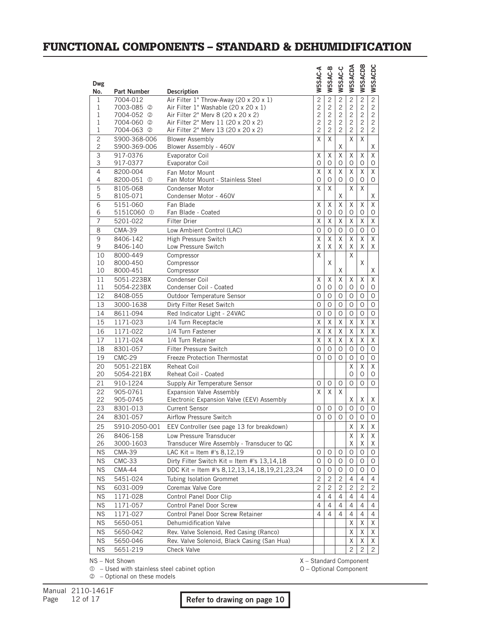#### FUNCTIONAL COMPONENTS – STANDARD & DEHUMIDIFICATION

| Dwg             |                                         |                                                                                | W5SAC-A                          | W5SAC-B                          | W5SAC-C                          | W5SACDA                          | <b>W5SACDB</b>                   | <b>W5SACDC</b>                   |
|-----------------|-----------------------------------------|--------------------------------------------------------------------------------|----------------------------------|----------------------------------|----------------------------------|----------------------------------|----------------------------------|----------------------------------|
| No.             | <b>Part Number</b>                      | <b>Description</b>                                                             |                                  |                                  |                                  |                                  |                                  |                                  |
| 1<br>1          | 7004-012<br>7003-085 2                  | Air Filter 1" Throw-Away (20 x 20 x 1)<br>Air Filter 1" Washable (20 x 20 x 1) | $\overline{c}$<br>$\overline{c}$ | $\overline{2}$<br>$\overline{c}$ | $\overline{c}$<br>$\overline{c}$ | $\overline{2}$<br>$\overline{c}$ | $\overline{c}$<br>$\overline{c}$ | $\overline{2}$<br>$\overline{c}$ |
| 1               | 7004-052 2                              | Air Filter 2" Merv 8 (20 x 20 x 2)                                             | $\overline{c}$                   | $\overline{c}$                   | 2                                | $\overline{c}$                   | $\overline{c}$                   | $\mathbf{2}$                     |
| 1               | 7004-060 <sup><b><sup>2</sup></b></sup> | Air Filter 2" Merv 11 (20 x 20 x 2)                                            | $\overline{c}$                   | $\overline{c}$                   | 2                                | $\overline{2}$                   | $\overline{c}$                   | $\overline{c}$                   |
| 1               | 7004-063 <sup>②</sup>                   | Air Filter 2" Merv 13 (20 x 20 x 2)                                            | $\overline{c}$                   | $\overline{2}$                   | $\overline{c}$                   | $\overline{c}$                   | $\overline{c}$                   | $\overline{2}$                   |
| $\overline{c}$  | S900-368-006                            | <b>Blower Assembly</b>                                                         | X                                | X                                |                                  | X                                | X                                |                                  |
| 2               | S900-369-006                            | Blower Assembly - 460V                                                         |                                  |                                  | X                                |                                  |                                  | Χ                                |
| 3               | 917-0376                                | Evaporator Coil                                                                | X                                | X                                | X                                | X                                | X                                | Χ                                |
| 3               | 917-0377                                | Evaporator Coil                                                                | 0                                | 0                                | 0                                | 0                                | 0                                | 0                                |
| 4               | 8200-004                                | Fan Motor Mount                                                                | X                                | X                                | Χ                                | X                                | X                                | X                                |
| 4               | 8200-051 <sup>0</sup>                   | Fan Motor Mount - Stainless Steel                                              | 0                                | 0                                | 0                                | 0                                | 0                                | 0                                |
| 5<br>5          | 8105-068<br>8105-071                    | Condenser Motor<br>Condenser Motor - 460V                                      | X                                | X                                | Χ                                | X                                | X                                | Χ                                |
| 6               | 5151-060                                | Fan Blade                                                                      | X                                | X                                | Χ                                | X                                | Χ                                | X                                |
| 6               | 5151C060 <sup>0</sup>                   | Fan Blade - Coated                                                             | 0                                | 0                                | 0                                | 0                                | 0                                | 0                                |
| 7               | 5201-022                                | <b>Filter Drier</b>                                                            | X                                | X                                | X                                | Χ                                | Χ                                | Χ                                |
| 8               | <b>CMA-39</b>                           | Low Ambient Control (LAC)                                                      | $\circ$                          | $\circ$                          | $\circ$                          | $\circ$                          | 0                                | $\circ$                          |
| 9               | 8406-142                                | High Pressure Switch                                                           | X                                | X                                | Χ                                | X                                | X                                | X                                |
| 9               | 8406-140                                | Low Pressure Switch                                                            | X                                | X                                | X                                | X                                | X                                | X                                |
| 10              | 8000-449                                | Compressor                                                                     | Χ                                |                                  |                                  | X                                |                                  |                                  |
| 10              | 8000-450                                | Compressor                                                                     |                                  | X                                |                                  |                                  | X                                |                                  |
| 10              | 8000-451                                | Compressor                                                                     |                                  |                                  | Χ                                |                                  |                                  | Χ                                |
| 11              | 5051-223BX                              | Condenser Coil                                                                 | X                                | X                                | X                                | X                                | X                                | Χ                                |
| 11              | 5054-223BX                              | Condenser Coil - Coated                                                        | 0                                | 0                                | $\Omega$                         | 0                                | 0                                | 0                                |
| 12              | 8408-055                                | Outdoor Temperature Sensor                                                     | O                                | $\circ$                          | O                                | 0                                | O                                | 0                                |
| 13              | 3000-1638                               | Dirty Filter Reset Switch                                                      | 0                                | 0                                | 0                                | 0                                | O                                | 0                                |
| 14              | 8611-094                                | Red Indicator Light - 24VAC                                                    | O                                | 0                                | 0                                | 0                                | 0                                | 0                                |
| 15              | 1171-023                                | 1/4 Turn Receptacle                                                            | X                                | X                                | X                                | Χ                                | X                                | Χ                                |
| 16              | 1171-022                                | 1/4 Turn Fastener                                                              | Χ                                | Χ                                | Χ                                | $\overline{\mathsf{x}}$          | $\sf X$                          | Χ                                |
| 17              | 1171-024                                | 1/4 Turn Retainer                                                              | X                                | X                                | X                                | X                                | Χ                                | Χ                                |
| 18              | 8301-057                                | <b>Filter Pressure Switch</b>                                                  | $\Omega$                         | $\circ$                          | 0                                | $\circ$                          | $\circ$                          | $\circ$                          |
| 19              | <b>CMC-29</b>                           | <b>Freeze Protection Thermostat</b>                                            | O                                | 0                                | O                                | 0                                | 0                                | 0                                |
| 20              | 5051-221BX                              | <b>Reheat Coil</b>                                                             |                                  |                                  |                                  | X                                | X                                | X                                |
| 20              | 5054-221BX                              | Reheat Coil - Coated                                                           |                                  |                                  |                                  | 0<br>$\Omega$                    | 0<br>$\Omega$                    | 0                                |
| 21<br>22        | 910-1224                                | Supply Air Temperature Sensor                                                  | 0<br>X                           | 0                                | 0<br>X                           |                                  |                                  | 0                                |
| 22              | 905-0761<br>905-0745                    | <b>Expansion Valve Assembly</b><br>Electronic Expansion Valve (EEV) Assembly   |                                  | X                                |                                  | X                                | Χ                                | Χ                                |
| 23              | 8301-013                                | <b>Current Sensor</b>                                                          | 0                                | $\circ$                          | 0                                | $\circ$                          | $\circ$                          | $\circ$                          |
| $\overline{24}$ | 8301-057                                | Airflow Pressure Switch                                                        | 0                                | $\overline{O}$                   | $\mathsf O$                      | $\overline{O}$                   | $\overline{0}$                   | $\overline{0}$                   |
| 25              | S910-2050-001                           | EEV Controller (see page 13 for breakdown)                                     |                                  |                                  |                                  | Χ                                | Χ                                | X                                |
| 26              | 8406-158                                | Low Pressure Transducer                                                        |                                  |                                  |                                  | Χ                                | X                                | X                                |
| 26              | 3000-1603                               | Transducer Wire Assembly - Transducer to QC                                    |                                  |                                  |                                  | Χ                                | Χ                                | X                                |
| <b>NS</b>       | CMA-39                                  | LAC Kit = Item #'s $8,12,19$                                                   | 0                                | 0                                | O                                | 0                                | O                                | 0                                |
| <b>NS</b>       | $CMC-33$                                | Dirty Filter Switch Kit = Item #'s $13,14,18$                                  | 0                                | 0                                | 0                                | 0                                | 0                                | 0                                |
| <b>NS</b>       | CMA-44                                  | DDC Kit = Item #'s 8,12,13,14,18,19,21,23,24                                   | 0                                | 0                                | 0                                | 0                                | 0                                | 0                                |
| <b>NS</b>       | 5451-024                                | Tubing Isolation Grommet                                                       | 2                                | $\overline{c}$                   | 2                                | 4                                | $\overline{4}$                   | 4                                |
| NS.             | 6031-009                                | Coremax Valve Core                                                             | $\overline{c}$                   | $\overline{c}$                   | $\overline{c}$                   | 2                                | 2                                | 2                                |
| <b>NS</b>       | 1171-028                                | Control Panel Door Clip                                                        | 4                                | 4                                | 4                                | 4                                | 4                                | 4                                |
| <b>NS</b>       | 1171-057                                | Control Panel Door Screw                                                       | $\overline{4}$                   | 4                                | 4                                | 4                                | 4                                | 4                                |
| <b>NS</b>       | 1171-027                                | Control Panel Door Screw Retainer                                              | 4                                | 4                                | 4                                | 4                                | 4                                | 4                                |
| <b>NS</b>       | 5650-051                                | Dehumidification Valve                                                         |                                  |                                  |                                  | Χ                                | Χ                                | Χ                                |
| <b>NS</b>       | 5650-042                                | Rev. Valve Solenoid, Red Casing (Ranco)                                        |                                  |                                  |                                  | Χ                                | Χ                                | Χ                                |
| <b>NS</b>       | 5650-046                                | Rev. Valve Solenoid, Black Casing (San Hua)                                    |                                  |                                  |                                  | Χ                                | X                                | Χ                                |
| <b>NS</b>       | 5651-219                                | Check Valve                                                                    |                                  |                                  |                                  | $\overline{c}$                   | $\overline{c}$                   | $\overline{2}$                   |
|                 |                                         |                                                                                |                                  |                                  |                                  |                                  |                                  |                                  |

NS – Not Shown

 $<sup>0</sup>$  – Used with stainless steel cabinet option</sup>

– Optional on these models

X – Standard Component O – Optional Component

Manual 2110-1461F Page 12 of 17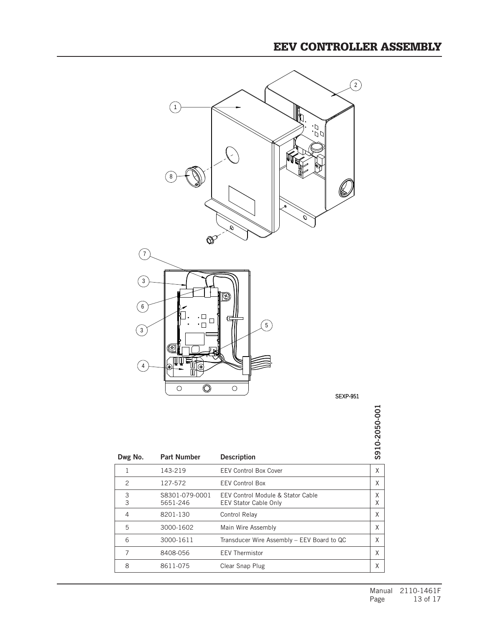#### EEV CONTROLLER ASSEMBLY

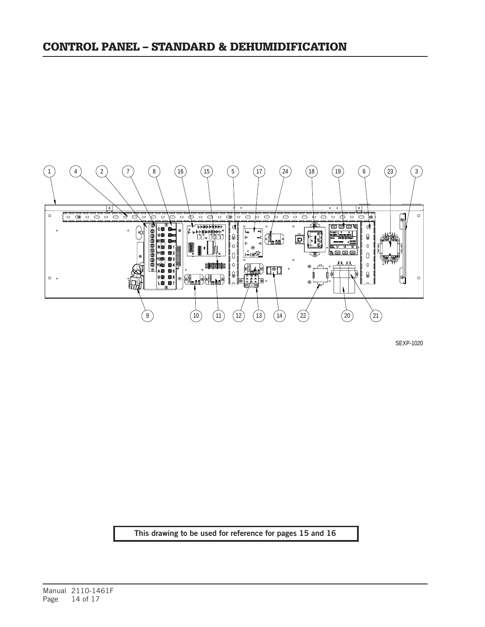

SEXP-1020

This drawing to be used for reference for pages 15 and 16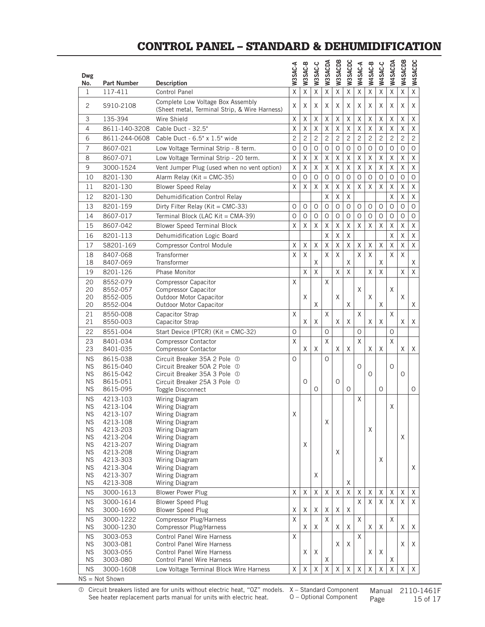### CONTROL PANEL – STANDARD & DEHUMIDIFICATION

| Dwg<br>No.                                                         | <b>Part Number</b>                                                               | <b>Description</b>                                                                                                                                | W3SAC-A        | W3SAC-B        | W3SAC-C        | W3SACDA        | W3SACDB        | W3SACDC        | W4SAC-A        | <b>W4SAC-B</b> | W4SAC-C        | W4SACDA        | W4SACDB        | W4SACDC        |
|--------------------------------------------------------------------|----------------------------------------------------------------------------------|---------------------------------------------------------------------------------------------------------------------------------------------------|----------------|----------------|----------------|----------------|----------------|----------------|----------------|----------------|----------------|----------------|----------------|----------------|
| 1                                                                  | 117-411                                                                          | <b>Control Panel</b>                                                                                                                              | X              | X              | Χ              | Χ              | $\sf X$        | χ              | Χ              | $\sf X$        | χ              | Χ              | $\sf X$        | $\mathsf{X}$   |
| $\overline{c}$                                                     | S910-2108                                                                        | Complete Low Voltage Box Assembly<br>(Sheet metal, Terminal Strip, & Wire Harness)                                                                | X              | Χ              | X              | X              | X              | X              | X              | Χ              | X              | X              | X              | X              |
| 3                                                                  | 135-394                                                                          | Wire Shield                                                                                                                                       | X              | Χ              | Χ              | X              | Χ              | X              | X              | Χ              | Χ              | X              | Χ              | X              |
| 4                                                                  | 8611-140-3208                                                                    | Cable Duct - 32.5"                                                                                                                                | X              | Χ              | Χ              | X              | X              | X              | X              | Χ              | X              | Χ              | Χ              | Χ              |
| 6                                                                  | 8611-244-0608                                                                    | Cable Duct - 6.5" x 1.5" wide                                                                                                                     | $\overline{c}$ | $\overline{2}$ | $\overline{c}$ | $\overline{c}$ | $\overline{c}$ | $\overline{c}$ | $\overline{c}$ | $\overline{c}$ | $\overline{c}$ | $\overline{c}$ | $\overline{2}$ | 2              |
| $\overline{7}$                                                     | 8607-021                                                                         | Low Voltage Terminal Strip - 8 term.                                                                                                              | $\overline{O}$ | 0              | $\circ$        | 0              | $\circ$        | $\circ$        | $\circ$        | 0              | 0              | $\circ$        | 0              | 0              |
| 8                                                                  | 8607-071                                                                         | Low Voltage Terminal Strip - 20 term.                                                                                                             | X              | X              | Χ              | X              | Χ              | Χ              | X              | Χ              | X              | Χ              | Χ              | Χ              |
| 9                                                                  | 3000-1524                                                                        | Vent Jumper Plug (used when no vent option)                                                                                                       | X              | X              | Χ              | X              | X              | $\sf X$        | X              | X              | X              | X              | X              | X              |
| 10                                                                 | 8201-130                                                                         | Alarm Relay (Kit = CMC-35)                                                                                                                        | $\overline{O}$ | 0              | 0              | $\circ$        | $\circ$        | $\circ$        | $\overline{O}$ | $\circ$        | $\circ$        | $\circ$        | $\circ$        | $\overline{O}$ |
| 11                                                                 | 8201-130                                                                         | <b>Blower Speed Relay</b>                                                                                                                         | $\sf X$        | Χ              | X              | Χ              | X              | Χ              | Χ              | Χ              | X              | Χ              | Χ              | X              |
| 12                                                                 | 8201-130                                                                         | Dehumidification Control Relay                                                                                                                    |                |                |                | Χ              | Χ              | $\sf X$        |                |                |                | X              | Χ              | Χ              |
| 13                                                                 | 8201-159                                                                         | Dirty Filter Relay (Kit = CMC-33)                                                                                                                 | 0              | 0              | $\circ$        | $\circ$        | $\circ$        | $\circ$        | $\overline{O}$ | $\circ$        | $\mathbf 0$    | $\overline{O}$ | 0              | 0              |
| 14                                                                 | 8607-017                                                                         | Terminal Block (LAC Kit = CMA-39)                                                                                                                 | $\overline{O}$ | 0              | 0              | $\circ$        | $\circ$        | $\mathsf O$    | $\overline{O}$ | $\circ$        | $\mathbf 0$    | $\circ$        | $\circ$        | $\overline{O}$ |
| 15                                                                 | 8607-042                                                                         | <b>Blower Speed Terminal Block</b>                                                                                                                | X              | X              | Χ              | $\sf X$        | X              | $\mathsf X$    | X              | X              | $\sf X$        | Χ              | $\sf X$        | Χ              |
| 16                                                                 | 8201-113                                                                         | Dehumidification Logic Board                                                                                                                      |                |                |                | Χ              | $\sf X$        | $\mathsf X$    |                |                |                | X              | X              | Χ              |
| 17                                                                 | S8201-169                                                                        | <b>Compressor Control Module</b>                                                                                                                  | X              | Χ              | Χ              | Χ              | X              | X              | Χ              | Χ              | $\sf X$        | Χ              | X              | X              |
| 18<br>18                                                           | 8407-068<br>8407-069                                                             | Transformer<br>Transformer                                                                                                                        | X              | Χ              | Χ              | X              | $\times$       | X              | X              | $\sf X$        | Χ              | X              | X              | Χ              |
| 19                                                                 | 8201-126                                                                         | <b>Phase Monitor</b>                                                                                                                              |                | X              | X              |                | X              | $\times$       |                | X              | X              |                | X              | X              |
| 20<br>20                                                           | 8552-079<br>8552-057                                                             | Compressor Capacitor<br><b>Compressor Capacitor</b>                                                                                               | $\sf X$        |                |                | X              |                |                | Χ              |                |                | X              |                |                |
| 20                                                                 | 8552-005                                                                         | Outdoor Motor Capacitor                                                                                                                           |                | X              |                |                | X              |                |                | X              |                |                | X              |                |
| 20                                                                 | 8552-004                                                                         | Outdoor Motor Capacitor                                                                                                                           |                |                | Χ              |                |                | X              |                |                | X              |                |                | X              |
| 21<br>21                                                           | 8550-008<br>8550-003                                                             | Capacitor Strap<br>Capacitor Strap                                                                                                                | X              | X              | X              | X              | X              | X              | X              | Χ              | X              | Χ              | X              | X              |
| 22                                                                 | 8551-004                                                                         | Start Device (PTCR) (Kit = CMC-32)                                                                                                                | $\overline{O}$ |                |                | $\circ$        |                |                | $\circ$        |                |                | 0              |                |                |
| 23<br>23                                                           | 8401-034<br>8401-035                                                             | <b>Compressor Contactor</b><br><b>Compressor Contactor</b>                                                                                        | X              | Χ              | Χ              | X              | Χ              | Χ              | X              | Χ              | Χ              | X              | Χ              | Χ              |
| <b>NS</b><br>ΝS<br>ΝS<br>ΝS<br>ΝS                                  | 8615-038<br>8615-040<br>8615-042<br>8615-051<br>8615-095                         | Circuit Breaker 35A 2 Pole 1<br>Circuit Breaker 50A 2 Pole ①<br>Circuit Breaker 35A 3 Pole ①<br>Circuit Breaker 25A 3 Pole 1<br>Toggle Disconnect | O              | $\Omega$       | 0              | O              | $\Omega$       | 0              | 0              | $\Omega$       | 0              | 0              | 0              | 0              |
| <b>NS</b><br><b>NS</b><br><b>NS</b><br>ΝS<br>ΝS<br>ΝS<br><b>NS</b> | 4213-103<br>4213-104<br>4213-107<br>4213-108<br>4213-203<br>4213-204<br>4213-207 | Wiring Diagram<br>Wiring Diagram<br>Wiring Diagram<br>Wiring Diagram<br>Wiring Diagram<br>Wiring Diagram<br>Wiring Diagram                        | X              | Χ              |                | Χ              |                |                | X              | Χ              |                | Χ              | Χ              |                |
| ΝS<br><b>NS</b><br>ΝS<br>ΝS<br><b>NS</b>                           | 4213-208<br>4213-303<br>4213-304<br>4213-307<br>4213-308                         | Wiring Diagram<br>Wiring Diagram<br>Wiring Diagram<br>Wiring Diagram<br>Wiring Diagram                                                            |                |                | X              |                | X              | X              |                |                | X              |                |                | X              |
| <b>NS</b>                                                          | 3000-1613                                                                        | <b>Blower Power Plug</b>                                                                                                                          | X              | X              | χ              | Χ              | X              | X              | X              | Χ              | Χ              | Χ              | Χ              | Χ              |
| <b>NS</b><br><b>NS</b>                                             | 3000-1614<br>3000-1690                                                           | <b>Blower Speed Plug</b><br><b>Blower Speed Plug</b>                                                                                              | Χ              | Χ              | Χ              | Χ              | Χ              | Χ              | X              | X              | χ              | X              | Χ              | Χ              |
| <b>NS</b><br>ΝS                                                    | 3000-1222<br>3000-1230                                                           | Compressor Plug/Harness<br><b>Compressor Plug/Harness</b>                                                                                         | $\sf X$        | Χ              | Χ              | X              | Χ              | Χ              | X              | Χ              | Х              | Χ              | Х              | Χ              |
| <b>NS</b><br><b>NS</b><br><b>NS</b><br><b>NS</b>                   | 3003-053<br>3003-081<br>3003-055<br>3003-080                                     | <b>Control Panel Wire Harness</b><br><b>Control Panel Wire Harness</b><br><b>Control Panel Wire Harness</b><br><b>Control Panel Wire Harness</b>  | $\sf X$        | Χ              | Χ              | Χ              | X              | X              | X              | Χ              | Χ              | Χ              | X              | X              |
| <b>NS</b>                                                          | 3000-1608                                                                        | Low Voltage Terminal Block Wire Harness                                                                                                           | X              | X              | Χ              | Χ              | X              | X              | X              | Χ              | Χ              | Χ              | Χ              | Χ              |
|                                                                    | $NS = Not Shown$                                                                 |                                                                                                                                                   |                |                |                |                |                |                |                |                |                |                |                |                |

 Circuit breakers listed are for units without electric heat, "0Z" models. See heater replacement parts manual for units with electric heat.

X – Standard Component O – Optional Component

Manual 2110-1461F<br>Page 15 of 17 15 of 17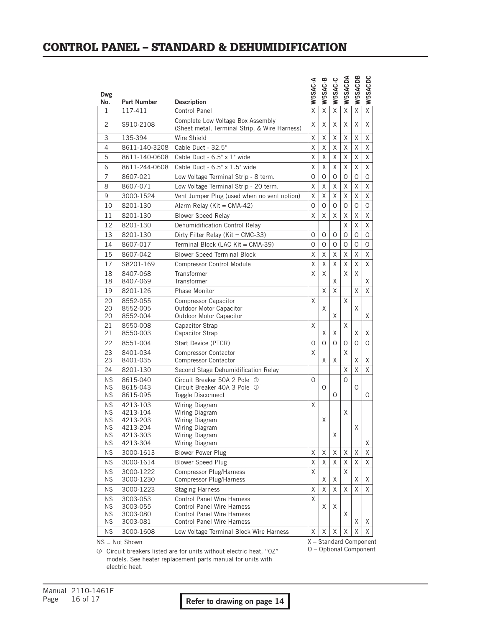#### CONTROL PANEL – STANDARD & DEHUMIDIFICATION

| Dwg                    |                               |                                                                                    | W5SAC-A        | W5SAC-B            | W5SAC-C  | <b>W5SACDA</b>     | <b>W5SACDB</b> | <b>W5SACDC</b>          |
|------------------------|-------------------------------|------------------------------------------------------------------------------------|----------------|--------------------|----------|--------------------|----------------|-------------------------|
| No.<br>1               | <b>Part Number</b><br>117-411 | <b>Description</b><br><b>Control Panel</b>                                         | X              | $\mathsf{X}% _{0}$ | Χ        | $\mathsf{X}% _{0}$ | Χ              | $\overline{\mathsf{x}}$ |
| 2                      | S910-2108                     | Complete Low Voltage Box Assembly<br>(Sheet metal, Terminal Strip, & Wire Harness) | X              | X                  | X        | X                  | X              | X                       |
| 3                      | 135-394                       | Wire Shield                                                                        | X              | X                  | X        | Χ                  | X              | X                       |
| 4                      | 8611-140-3208                 | Cable Duct - 32.5"                                                                 | X              | Χ                  | X        | Χ                  | Χ              | X                       |
| 5                      | 8611-140-0608                 | Cable Duct - 6.5" x 1" wide                                                        | X              | Χ                  | Χ        | Χ                  | Χ              | Χ                       |
| 6                      | 8611-244-0608                 | Cable Duct - 6.5" x 1.5" wide                                                      | X              | X                  | X        | X                  | X              | X                       |
| $\overline{7}$         | 8607-021                      | Low Voltage Terminal Strip - 8 term.                                               | $\overline{O}$ | $\circ$            | O        | 0                  | $\Omega$       | O                       |
| 8                      | 8607-071                      | Low Voltage Terminal Strip - 20 term.                                              | Χ              | Χ                  | Χ        | Χ                  | Χ              | X                       |
| 9                      | 3000-1524                     | Vent Jumper Plug (used when no vent option)                                        | Χ              | Χ                  | X        | Χ                  | Χ              | X                       |
| 10                     | 8201-130                      | Alarm Relay (Kit = CMA-42)                                                         | $\Omega$       | $\Omega$           | $\Omega$ | 0                  | 0              | 0                       |
| 11                     | 8201-130                      | <b>Blower Speed Relay</b>                                                          | X              | Χ                  | Χ        | Χ                  | Χ              | X                       |
| 12                     | 8201-130                      | Dehumidification Control Relay                                                     |                |                    |          | Χ                  | χ              | Χ                       |
| 13                     | 8201-130                      | Dirty Filter Relay (Kit = CMC-33)                                                  | $\Omega$       | 0                  | 0        | 0                  | $\Omega$       | O                       |
| 14                     | 8607-017                      | Terminal Block (LAC Kit = CMA-39)                                                  | 0              | 0                  | 0        | 0                  | 0              | 0                       |
| 15                     | 8607-042                      | <b>Blower Speed Terminal Block</b>                                                 | Χ              | X                  | X        | Χ                  | Χ              | Χ                       |
| 17                     | S8201-169                     | <b>Compressor Control Module</b>                                                   | X              | Χ                  | X        | Χ                  | Χ              | Χ                       |
| 18<br>18               | 8407-068<br>8407-069          | Transformer<br><b>Transformer</b>                                                  | X              | X                  | Χ        | Χ                  | Χ              | Χ                       |
| 19                     | 8201-126                      | <b>Phase Monitor</b>                                                               |                | Χ                  | X        |                    | Χ              | X                       |
| 20                     | 8552-055                      | <b>Compressor Capacitor</b>                                                        | Χ              |                    |          | X                  |                |                         |
| 20<br>20               | 8552-005<br>8552-004          | Outdoor Motor Capacitor<br>Outdoor Motor Capacitor                                 |                | X                  | X        |                    | X              | Χ                       |
| 21                     | 8550-008                      | Capacitor Strap                                                                    | Χ              |                    |          | Χ                  |                |                         |
| 21                     | 8550-003                      | Capacitor Strap                                                                    |                | Χ                  | X        |                    | Χ              | Χ                       |
| 22                     | 8551-004                      | Start Device (PTCR)                                                                | 0              | $\Omega$           | O        | 0                  | $\Omega$       | O                       |
| 23<br>23               | 8401-034<br>8401-035          | <b>Compressor Contactor</b><br>Compressor Contactor                                | X              | X                  | Χ        | Χ                  | Χ              | Χ                       |
| 24                     | 8201-130                      | Second Stage Dehumidification Relay                                                |                |                    |          | Χ                  | X              | χ                       |
| <b>NS</b>              | 8615-040                      | Circuit Breaker 50A 2 Pole ①                                                       | $\Omega$       |                    |          | O                  |                |                         |
| <b>NS</b>              | 8615-043                      | Circuit Breaker 40A 3 Pole ①                                                       |                | O                  |          |                    | O              |                         |
| <b>NS</b>              | 8615-095                      | Toggle Disconnect                                                                  |                |                    | 0        |                    |                | 0                       |
| <b>NS</b><br><b>NS</b> | 4213-103<br>4213-104          | Wiring Diagram<br>Wiring Diagram                                                   | X              |                    |          | X                  |                |                         |
| <b>NS</b>              | 4213-203                      | Wiring Diagram                                                                     |                | X                  |          |                    |                |                         |
| <b>NS</b>              | 4213-204                      | Wiring Diagram                                                                     |                |                    |          |                    | Χ              |                         |
| ΝS                     | 4213-303                      | Wiring Diagram                                                                     |                |                    | Χ        |                    |                |                         |
| <b>NS</b><br><b>NS</b> | 4213-304<br>3000-1613         | Wiring Diagram<br><b>Blower Power Plug</b>                                         | X              | X                  | Χ        | Χ                  | Χ              | Χ<br>Χ                  |
| <b>NS</b>              | 3000-1614                     | <b>Blower Speed Plug</b>                                                           | Χ              | Χ                  | Χ        | Χ                  | Χ              | Χ                       |
| NS.                    | 3000-1222                     | Compressor Plug/Harness                                                            | X              |                    |          | X                  |                |                         |
| <b>NS</b>              | 3000-1230                     | Compressor Plug/Harness                                                            |                | Χ                  | Χ        |                    | Χ              | Χ                       |
| <b>NS</b>              | 3000-1223                     | <b>Staging Harness</b>                                                             | Χ              | X                  | X        | Χ                  | Χ              | X                       |
| NS.                    | 3003-053                      | <b>Control Panel Wire Harness</b>                                                  | X              |                    |          |                    |                |                         |
| NS.                    | 3003-055                      | <b>Control Panel Wire Harness</b>                                                  |                | X                  | X        |                    |                |                         |
| <b>NS</b>              | 3003-080                      | <b>Control Panel Wire Harness</b>                                                  |                |                    |          | Χ                  |                |                         |
| <b>NS</b><br><b>NS</b> | 3003-081                      | <b>Control Panel Wire Harness</b>                                                  | X              | Χ                  | X        | Χ                  | Χ<br>X         | X<br>X                  |
|                        | 3000-1608                     | Low Voltage Terminal Block Wire Harness                                            |                |                    |          |                    |                |                         |

NS = Not Shown

 Circuit breakers listed are for units without electric heat, "0Z" models. See heater replacement parts manual for units with electric heat.

X – Standard Component

O – Optional Component